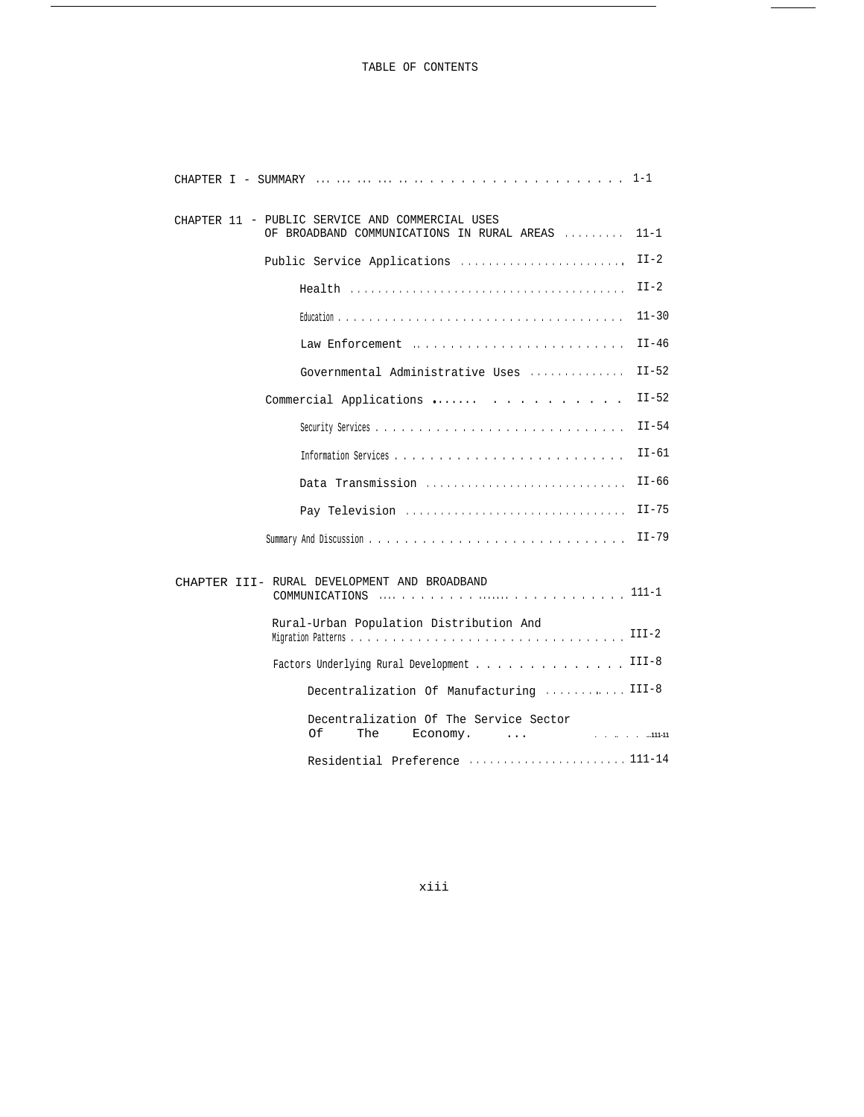## TABLE OF CONTENTS

 $\overline{\phantom{0}}$ 

 $\overline{\phantom{a}}$ 

| CHAPTER 11 - PUBLIC SERVICE AND COMMERCIAL USES<br>OF BROADBAND COMMUNICATIONS IN RURAL AREAS | $11 - 1$                 |
|-----------------------------------------------------------------------------------------------|--------------------------|
| Public Service Applications                                                                   | $II-2$                   |
| $Health                   $                                                                   | $II-2$                   |
|                                                                                               | $11 - 30$                |
| Law Enforcement                                                                               | $II-46$                  |
| Governmental Administrative Uses                                                              | $II-52$                  |
| Commercial Applications                                                                       | $II-52$                  |
|                                                                                               | $II-54$                  |
|                                                                                               | $II-61$                  |
| Data Transmission                                                                             | $II-66$                  |
| Pay Television                                                                                | $II-75$                  |
|                                                                                               | $II-79$                  |
| CHAPTER III- RURAL DEVELOPMENT AND BROADBAND                                                  |                          |
| Rural-Urban Population Distribution And                                                       | $III-2$                  |
| Factors Underlying Rural Development                                                          | $III-8$                  |
| Decentralization Of Manufacturing  III-8                                                      |                          |
| Decentralization Of The Service Sector<br>Of<br>The<br>Economy.<br>$\cdots$                   | 1000 Block of Jul 111-11 |
|                                                                                               |                          |

xiii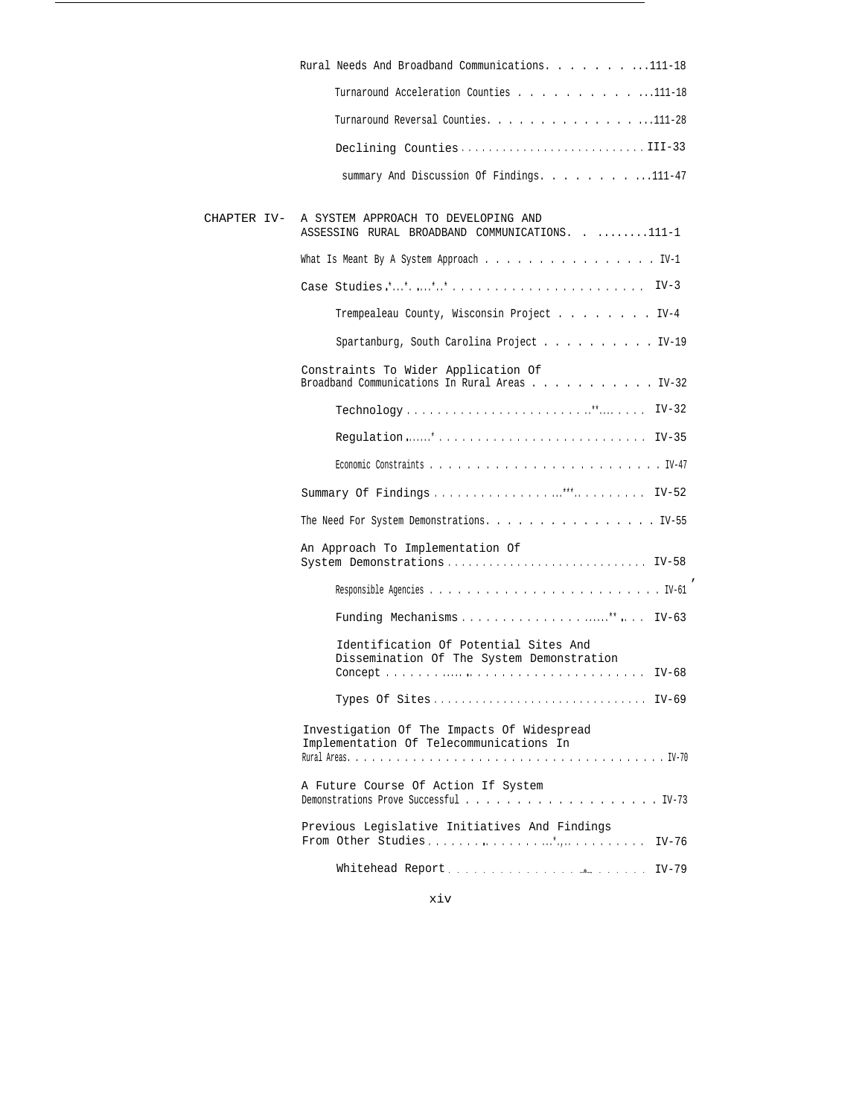| Rural Needs And Broadband Communications. 111-18                                                 |
|--------------------------------------------------------------------------------------------------|
| Turnaround Acceleration Counties 111-18                                                          |
| Turnaround Reversal Counties. 111-28                                                             |
| Declining CountiesIII-33                                                                         |
| summary And Discussion Of Findings. 111-47                                                       |
|                                                                                                  |
| CHAPTER IV- A SYSTEM APPROACH TO DEVELOPING AND<br>ASSESSING RURAL BROADBAND COMMUNICATIONS111-1 |
| What Is Meant By A System Approach IV-1                                                          |
|                                                                                                  |
| Trempealeau County, Wisconsin Project IV-4                                                       |
| Spartanburg, South Carolina Project IV-19                                                        |
| Constraints To Wider Application Of<br>Broadband Communications In Rural Areas IV-32             |
|                                                                                                  |
|                                                                                                  |
|                                                                                                  |
|                                                                                                  |
| The Need For System Demonstrations. IV-55                                                        |
| An Approach To Implementation Of                                                                 |
|                                                                                                  |
|                                                                                                  |
| Identification Of Potential Sites And<br>Dissemination Of The System Demonstration               |
| Types Of Sites IV-69                                                                             |
| Investigation Of The Impacts Of Widespread<br>Implementation Of Telecommunications In            |
|                                                                                                  |
| A Future Course Of Action If System                                                              |
| Previous Legislative Initiatives And Findings<br>$IV-76$                                         |
|                                                                                                  |